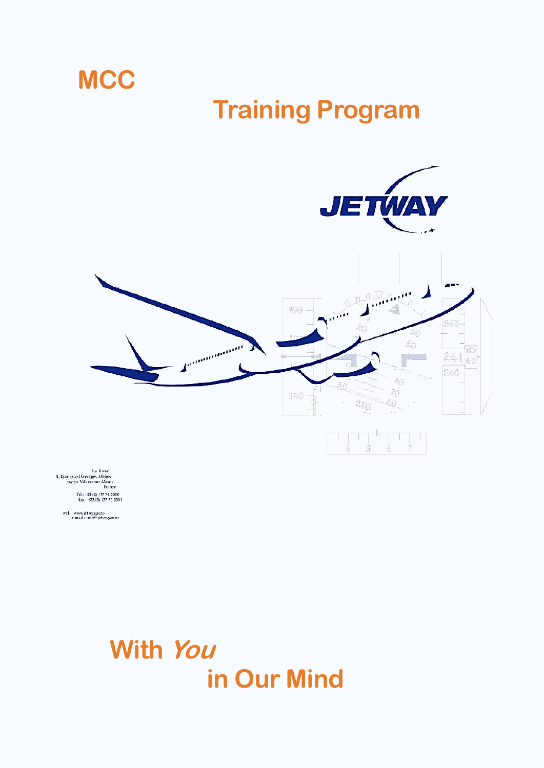# **Training Program**





Le River<br>9, Boulevard Georges Mèlies<br>94350 Villiers sur Marne<br>France Tel: +33 (0) 177 79 0000<br>Fax: +33 (0) 177 79 0001

**MCC** 

web : www.jetway.aero<br>e mail : info@jetway.aero

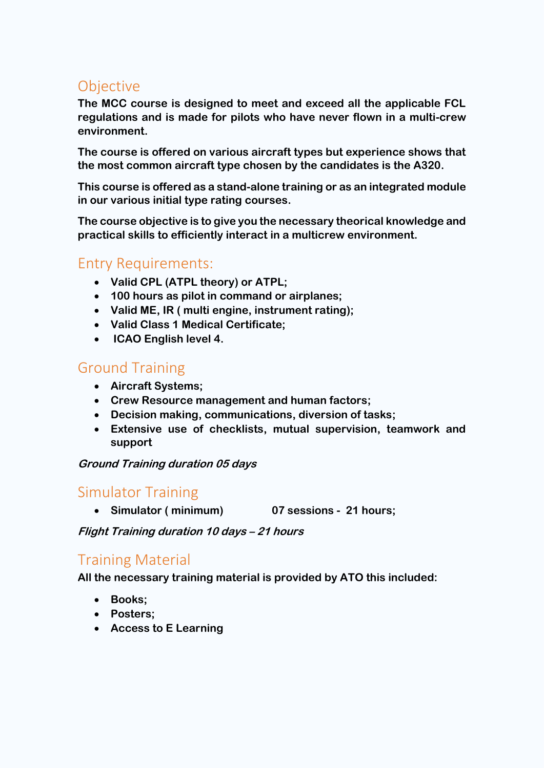## **Objective**

**The MCC course is designed to meet and exceed all the applicable FCL regulations and is made for pilots who have never flown in a multi-crew environment.**

**The course is offered on various aircraft types but experience shows that the most common aircraft type chosen by the candidates is the A320.** 

**This course is offered as a stand-alone training or as an integrated module in our various initial type rating courses.**

**The course objective is to give you the necessary theorical knowledge and practical skills to efficiently interact in a multicrew environment.**

### Entry Requirements:

- **Valid CPL (ATPL theory) or ATPL;**
- **100 hours as pilot in command or airplanes;**
- **Valid ME, IR ( multi engine, instrument rating);**
- **Valid Class 1 Medical Certificate;**
- **ICAO English level 4.**

# Ground Training

- **Aircraft Systems;**
- **Crew Resource management and human factors;**
- **Decision making, communications, diversion of tasks;**
- **Extensive use of checklists, mutual supervision, teamwork and support**

**Ground Training duration 05 days** 

#### Simulator Training

**Simulator ( minimum) 07 sessions - 21 hours;**

**Flight Training duration 10 days – 21 hours** 

# Training Material

**All the necessary training material is provided by ATO this included:**

- **Books;**
- **Posters;**
- **Access to E Learning**